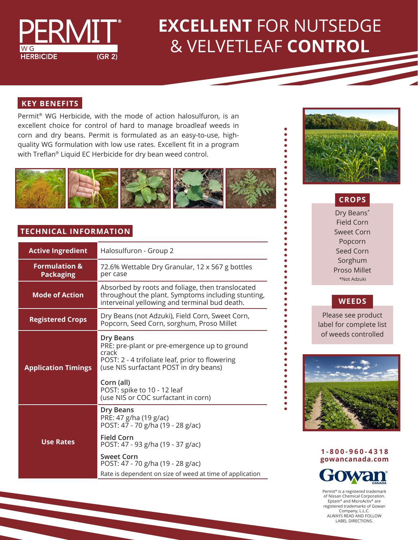

# **EXCELLENT** FOR NUTSEDGE & VELVETLEAF **CONTROL**

 $\bullet$  $\bullet$ 

 $\bullet$  $\bullet$ 

 $\bullet$ 

 $\bullet$  $\bullet$  $\bullet$  $\bullet$  $\bullet$  $\bullet$  $\bullet$  $\bullet$  $\bullet$ 

### **KEY BENEFITS**

Permit® WG Herbicide, with the mode of action halosulfuron, is an excellent choice for control of hard to manage broadleaf weeds in corn and dry beans. Permit is formulated as an easy-to-use, highquality WG formulation with low use rates. Excellent fit in a program with Treflan® Liquid EC Herbicide for dry bean weed control.



#### **TECHNICAL INFORMATION**

| <b>Active Ingredient</b>                     | Halosulfuron - Group 2                                                                                                                                                                                                                              |
|----------------------------------------------|-----------------------------------------------------------------------------------------------------------------------------------------------------------------------------------------------------------------------------------------------------|
| <b>Formulation &amp;</b><br><b>Packaging</b> | 72.6% Wettable Dry Granular, 12 x 567 g bottles<br>per case                                                                                                                                                                                         |
| <b>Mode of Action</b>                        | Absorbed by roots and foliage, then translocated<br>throughout the plant. Symptoms including stunting,<br>interveinal yellowing and terminal bud death.                                                                                             |
| <b>Registered Crops</b>                      | Dry Beans (not Adzuki), Field Corn, Sweet Corn,<br>Popcorn, Seed Corn, sorghum, Proso Millet                                                                                                                                                        |
| <b>Application Timings</b>                   | Dry Beans<br>PRE: pre-plant or pre-emergence up to ground<br>crack<br>POST: 2 - 4 trifoliate leaf, prior to flowering<br>(use NIS surfactant POST in dry beans)<br>Corn (all)<br>POST: spike to 10 - 12 leaf<br>(use NIS or COC surfactant in corn) |
| <b>Use Rates</b>                             | <b>Dry Beans</b><br>PRE: 47 g/ha (19 g/ac)<br>POST: 47 - 70 g/ha (19 - 28 g/ac)<br><b>Field Corn</b><br>POST: 47 - 93 g/ha (19 - 37 g/ac)<br>Sweet Corn                                                                                             |
|                                              | POST: 47 - 70 g/ha (19 - 28 g/ac)<br>Rate is dependent on size of weed at time of application                                                                                                                                                       |



### **CROPS**

Dry Beans\* Field Corn Sweet Corn Popcorn Seed Corn Sorghum Proso Millet \*Not Adzuki

### **WEEDS**

Please see product label for complete list of weeds controlled



#### **1-800-960-4318 gowancanada.com**



Permit® is a registered trademark of Nissan Chemical Corporation. Eptam® and MicroActiv® are registered trademarks of Gowan Company, L.L.C. ALWAYS READ AND FOLLOW LABEL DIRECTIONS.